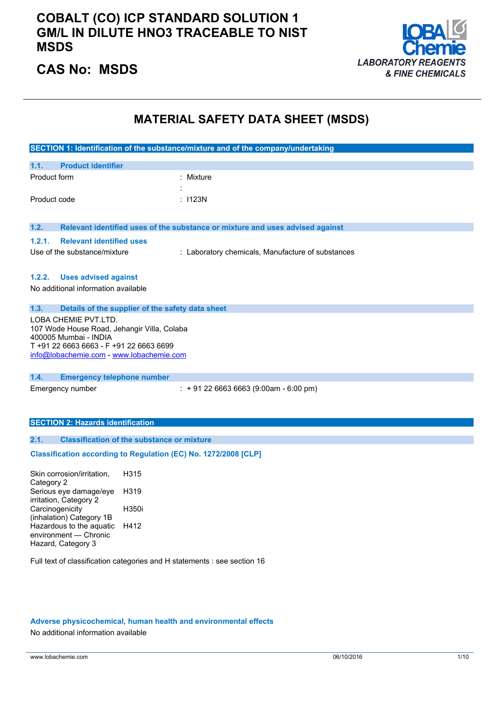### **COBALT (CO) ICP STANDARD SOLUTION 1 GM/L IN DILUTE HNO3 TRACEABLE TO NIST MSDS**



### **CAS No: MSDS**

### **MATERIAL SAFETY DATA SHEET (MSDS)**

|                                                                                                                                                                                     | SECTION 1: Identification of the substance/mixture and of the company/undertaking |
|-------------------------------------------------------------------------------------------------------------------------------------------------------------------------------------|-----------------------------------------------------------------------------------|
| 1.1.<br><b>Product identifier</b>                                                                                                                                                   |                                                                                   |
| Product form                                                                                                                                                                        | Mixture                                                                           |
| Product code                                                                                                                                                                        | : I123N                                                                           |
| 1.2.                                                                                                                                                                                | Relevant identified uses of the substance or mixture and uses advised against     |
| 1.2.1.<br><b>Relevant identified uses</b>                                                                                                                                           |                                                                                   |
| Use of the substance/mixture                                                                                                                                                        | : Laboratory chemicals, Manufacture of substances                                 |
| 1.2.2.<br><b>Uses advised against</b><br>No additional information available                                                                                                        |                                                                                   |
| 1.3.                                                                                                                                                                                | Details of the supplier of the safety data sheet                                  |
| LOBA CHEMIE PVT.LTD.<br>107 Wode House Road, Jehangir Villa, Colaba<br>400005 Mumbai - INDIA<br>T +91 22 6663 6663 - F +91 22 6663 6699<br>info@lobachemie.com - www.lobachemie.com |                                                                                   |
| 1.4.<br><b>Emergency telephone number</b>                                                                                                                                           |                                                                                   |
| Emergency number<br><b>SECTION 2: Hazards identification</b>                                                                                                                        | $: +912266636663(9:00am - 6:00 pm)$                                               |
| 2.1.                                                                                                                                                                                | <b>Classification of the substance or mixture</b>                                 |
|                                                                                                                                                                                     | Classification according to Regulation (EC) No. 1272/2008 [CLP]                   |
| Skin corrosion/irritation,<br>Category 2                                                                                                                                            | H315                                                                              |
| Serious eye damage/eye<br>irritation, Category 2                                                                                                                                    | H319                                                                              |
| Carcinogenicity<br>(inhalation) Category 1B                                                                                                                                         | H350i                                                                             |

Full text of classification categories and H statements : see section 16

#### **Adverse physicochemical, human health and environmental effects**

No additional information available

Hazardous to the aquatic H412

environment — Chronic Hazard, Category 3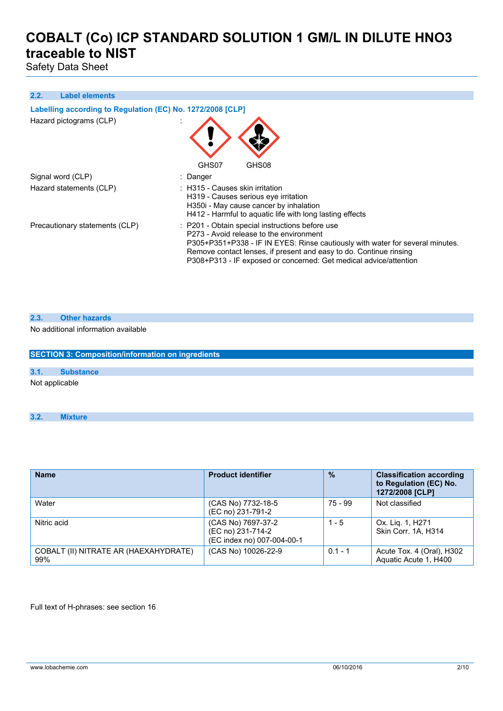Safety Data Sheet

#### **2.2. Label elements**

| Labelling according to Regulation (EC) No. 1272/2008 [CLP]<br>Hazard pictograms (CLP) | GHS07<br>GHS08                                                                                                                                                                                                                                                                                                         |
|---------------------------------------------------------------------------------------|------------------------------------------------------------------------------------------------------------------------------------------------------------------------------------------------------------------------------------------------------------------------------------------------------------------------|
| Signal word (CLP)                                                                     | : Danger                                                                                                                                                                                                                                                                                                               |
| Hazard statements (CLP)                                                               | $\therefore$ H315 - Causes skin irritation<br>H319 - Causes serious eye irritation<br>H350i - May cause cancer by inhalation<br>H412 - Harmful to aquatic life with long lasting effects                                                                                                                               |
| Precautionary statements (CLP)                                                        | : P201 - Obtain special instructions before use<br>P273 - Avoid release to the environment<br>P305+P351+P338 - IF IN EYES: Rinse cautiously with water for several minutes.<br>Remove contact lenses, if present and easy to do. Continue rinsing<br>P308+P313 - IF exposed or concerned: Get medical advice/attention |

| 2.3. | <b>Other hazards</b> |
|------|----------------------|
|      |                      |

No additional information available

**SECTION 3: Composition/information on ingredients 3.1. Substance** Not applicable

**3.2. Mixture**

| <b>Name</b>                                  | <b>Product identifier</b>                                             | $\frac{9}{6}$ | <b>Classification according</b><br>to Regulation (EC) No.<br>1272/2008 [CLP] |
|----------------------------------------------|-----------------------------------------------------------------------|---------------|------------------------------------------------------------------------------|
| Water                                        | (CAS No) 7732-18-5<br>(EC no) 231-791-2                               | 75 - 99       | Not classified                                                               |
| Nitric acid                                  | (CAS No) 7697-37-2<br>(EC no) 231-714-2<br>(EC index no) 007-004-00-1 | $1 - 5$       | Ox. Lig. 1, H271<br>Skin Corr. 1A, H314                                      |
| COBALT (II) NITRATE AR (HAEXAHYDRATE)<br>99% | (CAS No) 10026-22-9                                                   | $0.1 - 1$     | Acute Tox. 4 (Oral), H302<br>Aquatic Acute 1, H400                           |

Full text of H-phrases: see section 16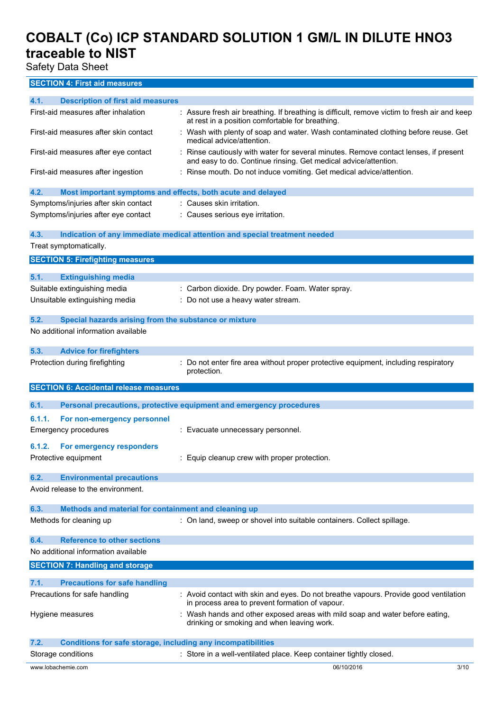Safety Data Sheet

### **SECTION 4: First aid measures**

| 4.1.               | <b>Description of first aid measures</b>                              |                                                                                                                                                       |  |
|--------------------|-----------------------------------------------------------------------|-------------------------------------------------------------------------------------------------------------------------------------------------------|--|
|                    | First-aid measures after inhalation                                   | : Assure fresh air breathing. If breathing is difficult, remove victim to fresh air and keep<br>at rest in a position comfortable for breathing.      |  |
|                    | First-aid measures after skin contact                                 | : Wash with plenty of soap and water. Wash contaminated clothing before reuse. Get<br>medical advice/attention.                                       |  |
|                    | First-aid measures after eye contact                                  | Rinse cautiously with water for several minutes. Remove contact lenses, if present<br>and easy to do. Continue rinsing. Get medical advice/attention. |  |
|                    | First-aid measures after ingestion                                    | : Rinse mouth. Do not induce vomiting. Get medical advice/attention.                                                                                  |  |
| 4.2.               | Most important symptoms and effects, both acute and delayed           |                                                                                                                                                       |  |
|                    | Symptoms/injuries after skin contact                                  | : Causes skin irritation.                                                                                                                             |  |
|                    | Symptoms/injuries after eye contact                                   | : Causes serious eye irritation.                                                                                                                      |  |
| 4.3.               |                                                                       | Indication of any immediate medical attention and special treatment needed                                                                            |  |
|                    | Treat symptomatically.                                                |                                                                                                                                                       |  |
|                    | <b>SECTION 5: Firefighting measures</b>                               |                                                                                                                                                       |  |
| 5.1.               | <b>Extinguishing media</b>                                            |                                                                                                                                                       |  |
|                    | Suitable extinguishing media                                          | : Carbon dioxide. Dry powder. Foam. Water spray.                                                                                                      |  |
|                    | Unsuitable extinguishing media                                        | : Do not use a heavy water stream.                                                                                                                    |  |
|                    |                                                                       |                                                                                                                                                       |  |
| 5.2.               | Special hazards arising from the substance or mixture                 |                                                                                                                                                       |  |
|                    | No additional information available                                   |                                                                                                                                                       |  |
| 5.3.               | <b>Advice for firefighters</b>                                        |                                                                                                                                                       |  |
|                    | Protection during firefighting                                        | Do not enter fire area without proper protective equipment, including respiratory<br>protection.                                                      |  |
|                    |                                                                       |                                                                                                                                                       |  |
|                    | <b>SECTION 6: Accidental release measures</b>                         |                                                                                                                                                       |  |
| 6.1.               |                                                                       | Personal precautions, protective equipment and emergency procedures                                                                                   |  |
|                    |                                                                       |                                                                                                                                                       |  |
| 6.1.1.             | For non-emergency personnel<br><b>Emergency procedures</b>            | : Evacuate unnecessary personnel.                                                                                                                     |  |
| 6.1.2.             | For emergency responders                                              |                                                                                                                                                       |  |
|                    | Protective equipment                                                  | : Equip cleanup crew with proper protection.                                                                                                          |  |
| 6.2.               | <b>Environmental precautions</b>                                      |                                                                                                                                                       |  |
|                    | Avoid release to the environment.                                     |                                                                                                                                                       |  |
| 6.3.               | Methods and material for containment and cleaning up                  |                                                                                                                                                       |  |
|                    | Methods for cleaning up                                               | : On land, sweep or shovel into suitable containers. Collect spillage.                                                                                |  |
| 6.4.               | <b>Reference to other sections</b>                                    |                                                                                                                                                       |  |
|                    | No additional information available                                   |                                                                                                                                                       |  |
|                    | <b>SECTION 7: Handling and storage</b>                                |                                                                                                                                                       |  |
| 7.1.               |                                                                       |                                                                                                                                                       |  |
|                    | <b>Precautions for safe handling</b><br>Precautions for safe handling | : Avoid contact with skin and eyes. Do not breathe vapours. Provide good ventilation<br>in process area to prevent formation of vapour.               |  |
| Hygiene measures   |                                                                       | Wash hands and other exposed areas with mild soap and water before eating,<br>drinking or smoking and when leaving work.                              |  |
| 7.2.               | <b>Conditions for safe storage, including any incompatibilities</b>   |                                                                                                                                                       |  |
| Storage conditions |                                                                       | : Store in a well-ventilated place. Keep container tightly closed.                                                                                    |  |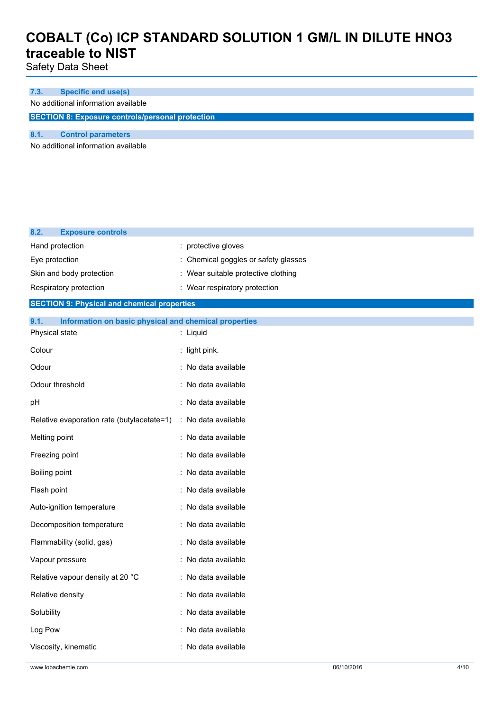Safety Data Sheet

### **7.3. Specific end use(s)**

No additional information available

**SECTION 8: Exposure controls/personal protection**

### **8.1. Control parameters**

**8.2. Exposure controls**

No additional information available

| 0.4.<br><b>EXPOSURE CONTROIS</b>                              |                                      |
|---------------------------------------------------------------|--------------------------------------|
| Hand protection                                               | : protective gloves                  |
| Eye protection                                                | : Chemical goggles or safety glasses |
| Skin and body protection                                      | : Wear suitable protective clothing  |
| Respiratory protection                                        | : Wear respiratory protection        |
| <b>SECTION 9: Physical and chemical properties</b>            |                                      |
| 9.1.<br>Information on basic physical and chemical properties |                                      |
| Physical state                                                | : Liquid                             |
| Colour                                                        | : light pink.                        |
| Odour                                                         | : No data available                  |
| Odour threshold                                               | : No data available                  |
| pH                                                            | : No data available                  |
| Relative evaporation rate (butylacetate=1)                    | : No data available                  |
| Melting point                                                 | : No data available                  |
| Freezing point                                                | : No data available                  |
| Boiling point                                                 | : No data available                  |
| Flash point                                                   | : No data available                  |
| Auto-ignition temperature                                     | : No data available                  |
| Decomposition temperature                                     | : No data available                  |
| Flammability (solid, gas)                                     | : No data available                  |
| Vapour pressure                                               | : No data available                  |
| Relative vapour density at 20 °C                              | : No data available                  |
| Relative density                                              | : No data available                  |
| Solubility                                                    | : No data available                  |
| Log Pow                                                       | : No data available                  |
| Viscosity, kinematic                                          | : No data available                  |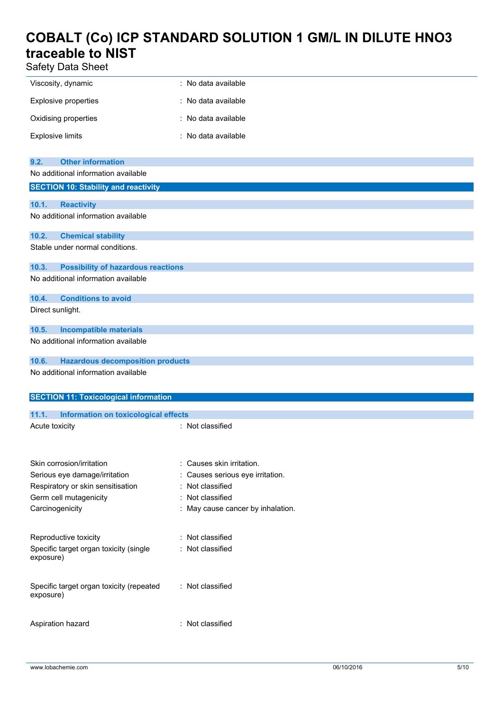Safety Data Sheet

| 38.0                                                  |                                   |
|-------------------------------------------------------|-----------------------------------|
| Viscosity, dynamic                                    | : No data available               |
| <b>Explosive properties</b>                           | : No data available               |
| Oxidising properties                                  | : No data available               |
| <b>Explosive limits</b>                               | : No data available               |
|                                                       |                                   |
| <b>Other information</b><br>9.2.                      |                                   |
| No additional information available                   |                                   |
| <b>SECTION 10: Stability and reactivity</b>           |                                   |
| 10.1.<br><b>Reactivity</b>                            |                                   |
| No additional information available                   |                                   |
| 10.2.<br><b>Chemical stability</b>                    |                                   |
| Stable under normal conditions.                       |                                   |
| 10.3.<br><b>Possibility of hazardous reactions</b>    |                                   |
| No additional information available                   |                                   |
| 10.4.<br><b>Conditions to avoid</b>                   |                                   |
| Direct sunlight.                                      |                                   |
| 10.5.<br><b>Incompatible materials</b>                |                                   |
| No additional information available                   |                                   |
| 10.6.<br><b>Hazardous decomposition products</b>      |                                   |
| No additional information available                   |                                   |
|                                                       |                                   |
| <b>SECTION 11: Toxicological information</b>          |                                   |
| 11.1.<br>Information on toxicological effects         |                                   |
| Acute toxicity                                        | : Not classified                  |
|                                                       |                                   |
| Skin corrosion/irritation                             | : Causes skin irritation.         |
| Serious eye damage/irritation                         | : Causes serious eye irritation.  |
| Respiratory or skin sensitisation                     | : Not classified                  |
| Germ cell mutagenicity                                | : Not classified                  |
| Carcinogenicity                                       | : May cause cancer by inhalation. |
| Reproductive toxicity                                 | : Not classified                  |
| Specific target organ toxicity (single                | : Not classified                  |
| exposure)                                             |                                   |
|                                                       |                                   |
| Specific target organ toxicity (repeated<br>exposure) | : Not classified                  |
|                                                       |                                   |

Aspiration hazard : Not classified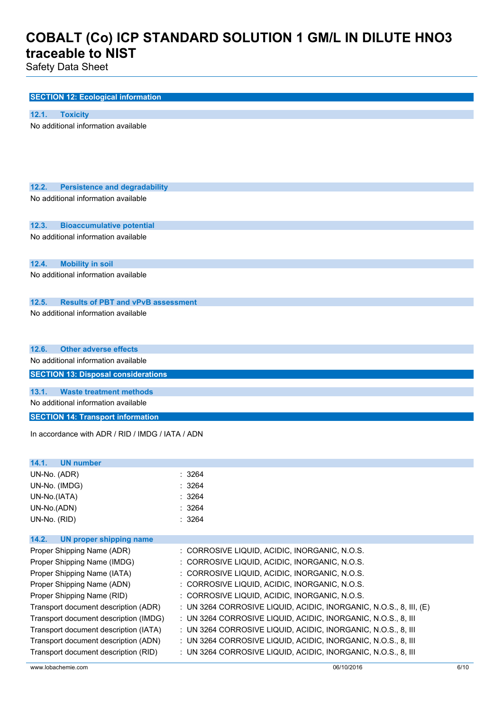Safety Data Sheet

|       | <b>SECTION 12: Ecological information</b>        |        |  |  |
|-------|--------------------------------------------------|--------|--|--|
|       |                                                  |        |  |  |
| 12.1. | <b>Toxicity</b>                                  |        |  |  |
|       | No additional information available              |        |  |  |
|       |                                                  |        |  |  |
|       |                                                  |        |  |  |
|       |                                                  |        |  |  |
|       |                                                  |        |  |  |
| 12.2. | <b>Persistence and degradability</b>             |        |  |  |
|       | No additional information available              |        |  |  |
|       |                                                  |        |  |  |
| 12.3. | <b>Bioaccumulative potential</b>                 |        |  |  |
|       | No additional information available              |        |  |  |
|       |                                                  |        |  |  |
| 12.4. | <b>Mobility in soil</b>                          |        |  |  |
|       | No additional information available              |        |  |  |
|       |                                                  |        |  |  |
| 12.5. | <b>Results of PBT and vPvB assessment</b>        |        |  |  |
|       | No additional information available              |        |  |  |
|       |                                                  |        |  |  |
|       |                                                  |        |  |  |
| 12.6. | <b>Other adverse effects</b>                     |        |  |  |
|       | No additional information available              |        |  |  |
|       | <b>SECTION 13: Disposal considerations</b>       |        |  |  |
|       |                                                  |        |  |  |
| 13.1. | <b>Waste treatment methods</b>                   |        |  |  |
|       | No additional information available              |        |  |  |
|       | <b>SECTION 14: Transport information</b>         |        |  |  |
|       | In accordance with ADR / RID / IMDG / IATA / ADN |        |  |  |
|       |                                                  |        |  |  |
|       |                                                  |        |  |  |
| 14.1. | <b>UN number</b>                                 |        |  |  |
|       | UN-No. (ADR)                                     | : 3264 |  |  |

| ורשתו. ושויי  | . JZUT |
|---------------|--------|
| UN-No. (IMDG) | : 3264 |
| UN-No.(IATA)  | : 3264 |
| UN-No.(ADN)   | : 3264 |
| UN-No. (RID)  | : 3264 |

| <b>UN proper shipping name</b><br>14.2. |                                                                      |
|-----------------------------------------|----------------------------------------------------------------------|
| Proper Shipping Name (ADR)              | : CORROSIVE LIQUID, ACIDIC, INORGANIC, N.O.S.                        |
| Proper Shipping Name (IMDG)             | : CORROSIVE LIQUID, ACIDIC, INORGANIC, N.O.S.                        |
| Proper Shipping Name (IATA)             | : CORROSIVE LIQUID, ACIDIC, INORGANIC, N.O.S.                        |
| Proper Shipping Name (ADN)              | : CORROSIVE LIQUID, ACIDIC, INORGANIC, N.O.S.                        |
| Proper Shipping Name (RID)              | : CORROSIVE LIQUID, ACIDIC, INORGANIC, N.O.S.                        |
| Transport document description (ADR)    | : UN 3264 CORROSIVE LIQUID, ACIDIC, INORGANIC, N.O.S., 8, III, $(E)$ |
| Transport document description (IMDG)   | : UN 3264 CORROSIVE LIQUID, ACIDIC, INORGANIC, N.O.S., 8, III        |
| Transport document description (IATA)   | : UN 3264 CORROSIVE LIQUID, ACIDIC, INORGANIC, N.O.S., 8, III        |
| Transport document description (ADN)    | : UN 3264 CORROSIVE LIQUID, ACIDIC, INORGANIC, N.O.S., 8, III        |
| Transport document description (RID)    | : UN 3264 CORROSIVE LIQUID, ACIDIC, INORGANIC, N.O.S., 8, III        |
|                                         |                                                                      |

www.lobachemie.com 06/10/2016 6/10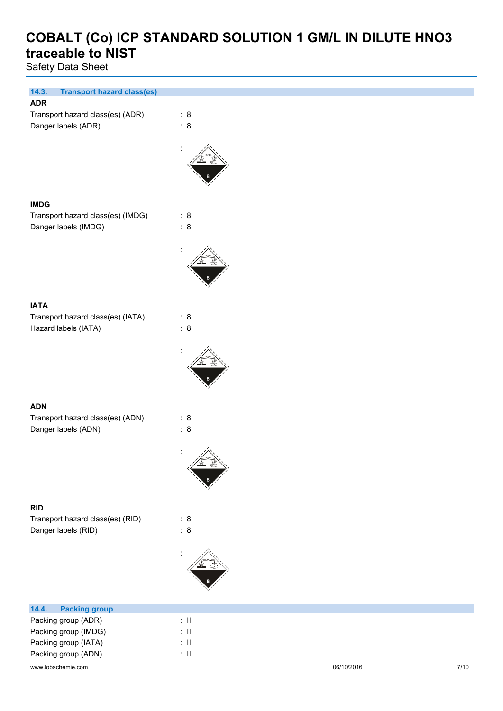Safety Data Sheet

| 14.3.<br><b>Transport hazard class(es)</b><br><b>ADR</b> |                        |
|----------------------------------------------------------|------------------------|
|                                                          |                        |
| Transport hazard class(es) (ADR)                         | : 8<br>$\therefore$ 8  |
| Danger labels (ADR)                                      |                        |
|                                                          |                        |
|                                                          |                        |
|                                                          |                        |
|                                                          |                        |
|                                                          |                        |
|                                                          |                        |
| <b>IMDG</b>                                              |                        |
| Transport hazard class(es) (IMDG)                        | : 8                    |
| Danger labels (IMDG)                                     | $\therefore$ 8         |
|                                                          |                        |
|                                                          |                        |
|                                                          |                        |
|                                                          |                        |
|                                                          |                        |
|                                                          |                        |
| <b>IATA</b>                                              |                        |
| Transport hazard class(es) (IATA)                        | : 8                    |
| Hazard labels (IATA)                                     | $\therefore$ 8         |
|                                                          |                        |
|                                                          |                        |
|                                                          |                        |
|                                                          |                        |
|                                                          |                        |
|                                                          |                        |
| <b>ADN</b>                                               |                        |
| Transport hazard class(es) (ADN)                         | : 8                    |
| Danger labels (ADN)                                      | : 8                    |
|                                                          |                        |
|                                                          |                        |
|                                                          |                        |
|                                                          |                        |
|                                                          |                        |
|                                                          |                        |
| <b>RID</b>                                               |                        |
| Transport hazard class(es) (RID)                         | : 8                    |
| Danger labels (RID)                                      | : 8                    |
|                                                          |                        |
|                                                          |                        |
|                                                          |                        |
|                                                          |                        |
|                                                          |                        |
|                                                          |                        |
| 14.4.<br><b>Packing group</b>                            |                        |
| Packing group (ADR)                                      | : $\, \mathrm{III} \,$ |
|                                                          |                        |

Packing group (IMDG) : III Packing group (IATA) : III Packing group (ADN) : III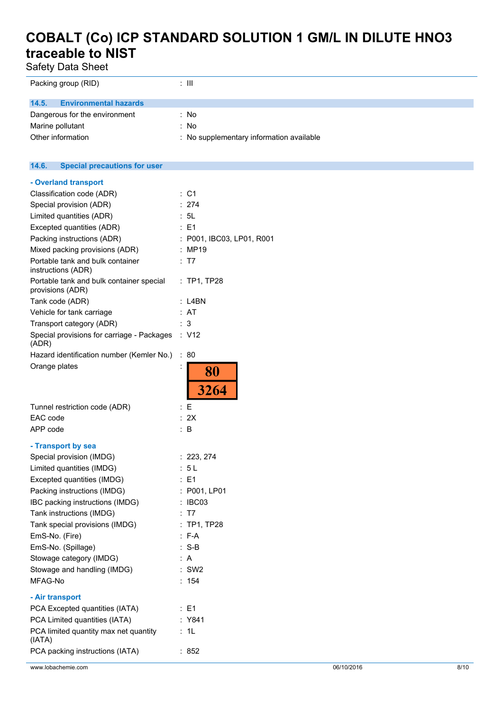Safety Data Sheet

| Packing group (RID)                          | $\therefore$ III                         |
|----------------------------------------------|------------------------------------------|
| <b>Environmental hazards</b><br>14.5.        |                                          |
| Dangerous for the environment                | : No                                     |
| Marine pollutant                             | : No                                     |
| Other information                            | : No supplementary information available |
|                                              |                                          |
| <b>Special precautions for user</b><br>14.6. |                                          |
| - Overland transport                         |                                          |
| Classification code (ADR)                    | $\therefore$ C1                          |
| Special provision (ADR)                      | : 274                                    |

| Special provision (ADR)                                      | : 274                     |
|--------------------------------------------------------------|---------------------------|
| Limited quantities (ADR)                                     | : 5L                      |
| Excepted quantities (ADR)                                    | $E = 1$                   |
| Packing instructions (ADR)                                   | : P001, IBC03, LP01, R001 |
| Mixed packing provisions (ADR)                               | : MP19                    |
| Portable tank and bulk container<br>instructions (ADR)       | : T7                      |
| Portable tank and bulk container special<br>provisions (ADR) | $:$ TP1, TP28             |
| Tank code (ADR)                                              | : L4BN                    |
| Vehicle for tank carriage                                    | : AT                      |
| Transport category (ADR)                                     | - 3                       |
| Special provisions for carriage - Packages<br>(ADR)          | : V12                     |
| Hazard identification number (Kemler No.)                    | ÷<br>80                   |
| Orange plates                                                | 80<br>3264                |
| Tunnel restriction code (ADR)                                | : E                       |
| EAC code                                                     | : 2X                      |
| APP code                                                     | : B                       |
|                                                              |                           |
| - Transport by sea                                           |                           |
| Special provision (IMDG)                                     | : 223, 274                |
| Limited quantities (IMDG)                                    | : 5 L                     |
| Excepted quantities (IMDG)                                   | : E1                      |
| Packing instructions (IMDG)                                  | : P001, LP01              |
| IBC packing instructions (IMDG)                              | IBC03<br>÷                |
| Tank instructions (IMDG)                                     | - T7                      |
| Tank special provisions (IMDG)                               | $:$ TP1, TP28             |
| EmS-No. (Fire)                                               | $: F-A$                   |
| EmS-No. (Spillage)                                           | $S-B$                     |
| Stowage category (IMDG)                                      | A                         |
| Stowage and handling (IMDG)                                  | $:$ SW2                   |
| MFAG-No                                                      | 154                       |
| - Air transport                                              |                           |
| PCA Excepted quantities (IATA)                               | : E1                      |
| PCA Limited quantities (IATA)                                | : Y841                    |
| PCA limited quantity max net quantity<br>(IATA)              | 1L                        |
| PCA packing instructions (IATA)                              | 852                       |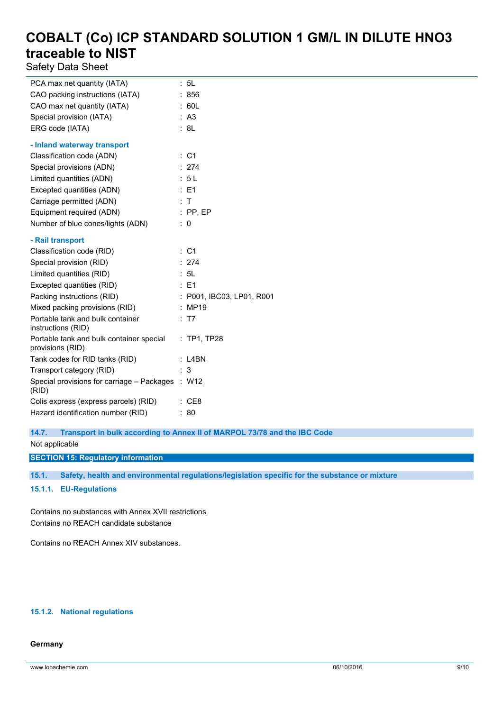Safety Data Sheet

| PCA max net quantity (IATA)                                  | : 5L                    |
|--------------------------------------------------------------|-------------------------|
| CAO packing instructions (IATA)                              | : 856                   |
| CAO max net quantity (IATA)                                  | : 60L                   |
| Special provision (IATA)                                     | : A3                    |
| ERG code (IATA)                                              | : 8L                    |
| - Inland waterway transport                                  |                         |
| Classification code (ADN)                                    | : C1                    |
| Special provisions (ADN)                                     | : 274                   |
| Limited quantities (ADN)                                     | : 5L                    |
| Excepted quantities (ADN)                                    | : E1                    |
| Carriage permitted (ADN)                                     | $\top$                  |
| Equipment required (ADN)                                     | $:$ PP, EP              |
| Number of blue cones/lights (ADN)                            | 0                       |
| - Rail transport                                             |                         |
| Classification code (RID)                                    | : C1                    |
| Special provision (RID)                                      | : 274                   |
| Limited quantities (RID)                                     | : 5L                    |
| Excepted quantities (RID)                                    | $\therefore$ E1         |
| Packing instructions (RID)                                   | P001, IBC03, LP01, R001 |
| Mixed packing provisions (RID)                               | : MP19                  |
| Portable tank and bulk container<br>instructions (RID)       | : T7                    |
| Portable tank and bulk container special<br>provisions (RID) | $:$ TP1, TP28           |
| Tank codes for RID tanks (RID)                               | $:$ L4BN                |
| Transport category (RID)                                     | 3                       |
| Special provisions for carriage – Packages : W12<br>(RID)    |                         |
| Colis express (express parcels) (RID)                        | : CE8                   |
| Hazard identification number (RID)                           | 80                      |

**14.7. Transport in bulk according to Annex II of MARPOL 73/78 and the IBC Code**

Not applicable

**SECTION 15: Regulatory information**

**15.1. Safety, health and environmental regulations/legislation specific for the substance or mixture**

**15.1.1. EU-Regulations**

Contains no substances with Annex XVII restrictions Contains no REACH candidate substance

Contains no REACH Annex XIV substances.

### **15.1.2. National regulations**

#### **Germany**